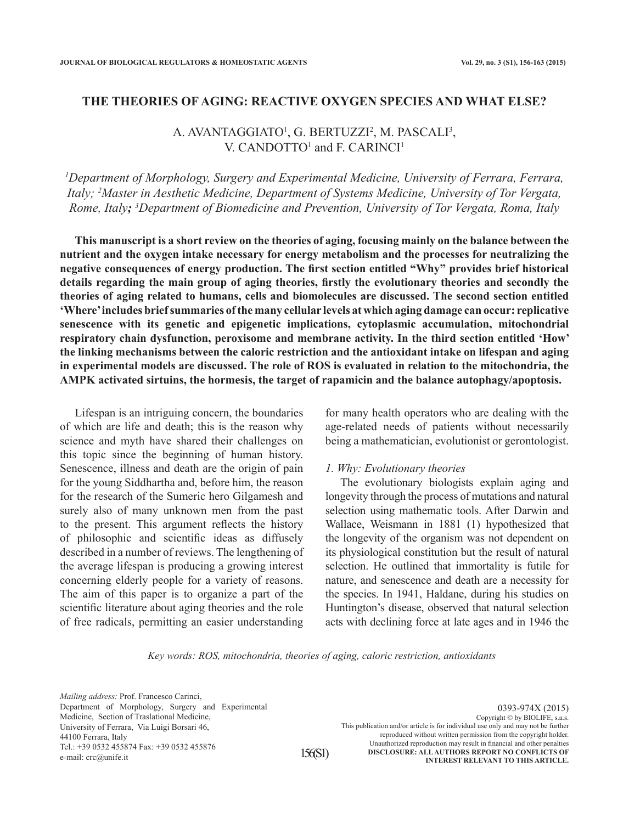## **THE THEORIES OF AGING: REACTIVE OXYGEN SPECIES AND WHAT ELSE?**

# A. AVANTAGGIATO<sup>1</sup>, G. BERTUZZI<sup>2</sup>, M. PASCALI<sup>3</sup>, V. CANDOTTO<sup>1</sup> and F. CARINCI<sup>1</sup>

*1 Department of Morphology, Surgery and Experimental Medicine, University of Ferrara, Ferrara, Italy; 2 Master in Aesthetic Medicine, Department of Systems Medicine, University of Tor Vergata, Rome, Italy; <sup>3</sup> Department of Biomedicine and Prevention, University of Tor Vergata, Roma, Italy*

**This manuscript is a short review on the theories of aging, focusing mainly on the balance between the nutrient and the oxygen intake necessary for energy metabolism and the processes for neutralizing the negative consequences of energy production. The first section entitled "Why" provides brief historical details regarding the main group of aging theories, firstly the evolutionary theories and secondly the theories of aging related to humans, cells and biomolecules are discussed. The second section entitled 'Where' includes brief summaries of the many cellular levels at which aging damage can occur: replicative senescence with its genetic and epigenetic implications, cytoplasmic accumulation, mitochondrial respiratory chain dysfunction, peroxisome and membrane activity. In the third section entitled 'How' the linking mechanisms between the caloric restriction and the antioxidant intake on lifespan and aging in experimental models are discussed. The role of ROS is evaluated in relation to the mitochondria, the AMPK activated sirtuins, the hormesis, the target of rapamicin and the balance autophagy/apoptosis.** 

Lifespan is an intriguing concern, the boundaries of which are life and death; this is the reason why science and myth have shared their challenges on this topic since the beginning of human history. Senescence, illness and death are the origin of pain for the young Siddhartha and, before him, the reason for the research of the Sumeric hero Gilgamesh and surely also of many unknown men from the past to the present. This argument reflects the history of philosophic and scientific ideas as diffusely described in a number of reviews. The lengthening of the average lifespan is producing a growing interest concerning elderly people for a variety of reasons. The aim of this paper is to organize a part of the scientific literature about aging theories and the role of free radicals, permitting an easier understanding

for many health operators who are dealing with the age-related needs of patients without necessarily being a mathematician, evolutionist or gerontologist.

## *1. Why: Evolutionary theories*

The evolutionary biologists explain aging and longevity through the process of mutations and natural selection using mathematic tools. After Darwin and Wallace, Weismann in 1881 (1) hypothesized that the longevity of the organism was not dependent on its physiological constitution but the result of natural selection. He outlined that immortality is futile for nature, and senescence and death are a necessity for the species. In 1941, Haldane, during his studies on Huntington's disease, observed that natural selection acts with declining force at late ages and in 1946 the

*Key words: ROS, mitochondria, theories of aging, caloric restriction, antioxidants*

*Mailing address:* Prof. Francesco Carinci, Department of Morphology, Surgery and Experimental Medicine, Section of Traslational Medicine, University of Ferrara, Via Luigi Borsari 46, 44100 Ferrara, Italy Tel.: +39 0532 455874 Fax: +39 0532 455876 e-mail: crc@unife.it

0393-974X (2015) Copyright © by BIOLIFE, s.a.s. This publication and/or article is for individual use only and may not be further reproduced without written permission from the copyright holder. Unauthorized reproduction may result in financial and other penalties **DISCLOSURE: ALL AUTHORS REPORT NO CONFLICTS OF INTEREST RELEVANT TO THIS ARTICLE.**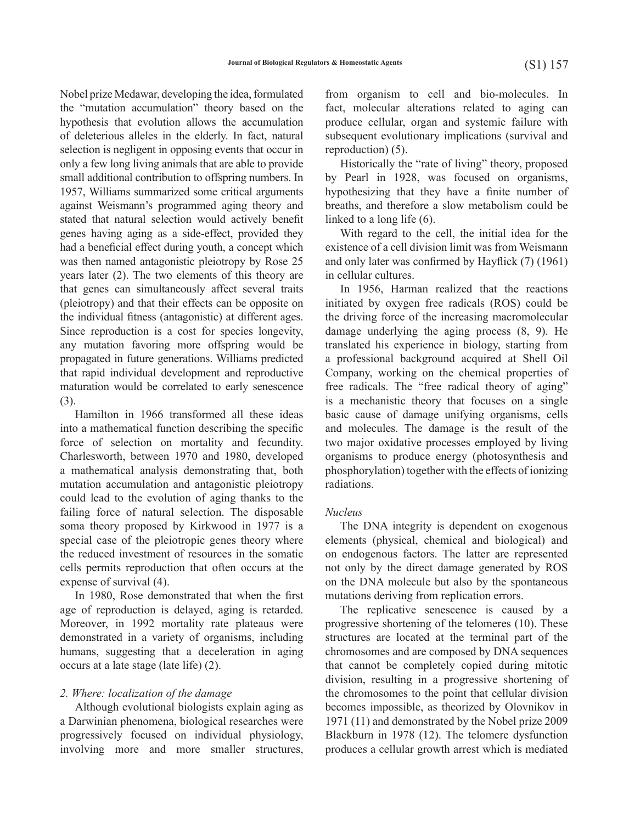the "mutation accumulation" theory based on the hypothesis that evolution allows the accumulation of deleterious alleles in the elderly. In fact, natural selection is negligent in opposing events that occur in only a few long living animals that are able to provide small additional contribution to offspring numbers. In 1957, Williams summarized some critical arguments against Weismann's programmed aging theory and stated that natural selection would actively benefit genes having aging as a side-effect, provided they had a beneficial effect during youth, a concept which was then named antagonistic pleiotropy by Rose 25 years later (2). The two elements of this theory are that genes can simultaneously affect several traits (pleiotropy) and that their effects can be opposite on the individual fitness (antagonistic) at different ages. Since reproduction is a cost for species longevity, any mutation favoring more offspring would be propagated in future generations. Williams predicted that rapid individual development and reproductive maturation would be correlated to early senescence (3).

Hamilton in 1966 transformed all these ideas into a mathematical function describing the specific force of selection on mortality and fecundity. Charlesworth, between 1970 and 1980, developed a mathematical analysis demonstrating that, both mutation accumulation and antagonistic pleiotropy could lead to the evolution of aging thanks to the failing force of natural selection. The disposable soma theory proposed by Kirkwood in 1977 is a special case of the pleiotropic genes theory where the reduced investment of resources in the somatic cells permits reproduction that often occurs at the expense of survival (4).

In 1980, Rose demonstrated that when the first age of reproduction is delayed, aging is retarded. Moreover, in 1992 mortality rate plateaus were demonstrated in a variety of organisms, including humans, suggesting that a deceleration in aging occurs at a late stage (late life) (2).

#### *2. Where: localization of the damage*

Although evolutional biologists explain aging as a Darwinian phenomena, biological researches were progressively focused on individual physiology, involving more and more smaller structures,

Nobel prize Medawar, developing the idea, formulated from organism to cell and bio-molecules. In fact, molecular alterations related to aging can produce cellular, organ and systemic failure with subsequent evolutionary implications (survival and reproduction) (5).

> Historically the "rate of living" theory, proposed by Pearl in 1928, was focused on organisms, hypothesizing that they have a finite number of breaths, and therefore a slow metabolism could be linked to a long life (6).

> With regard to the cell, the initial idea for the existence of a cell division limit was from Weismann and only later was confirmed by Hayflick (7) (1961) in cellular cultures.

> In 1956, Harman realized that the reactions initiated by oxygen free radicals (ROS) could be the driving force of the increasing macromolecular damage underlying the aging process (8, 9). He translated his experience in biology, starting from a professional background acquired at Shell Oil Company, working on the chemical properties of free radicals. The "free radical theory of aging" is a mechanistic theory that focuses on a single basic cause of damage unifying organisms, cells and molecules. The damage is the result of the two major oxidative processes employed by living organisms to produce energy (photosynthesis and phosphorylation) together with the effects of ionizing radiations.

#### *Nucleus*

The DNA integrity is dependent on exogenous elements (physical, chemical and biological) and on endogenous factors. The latter are represented not only by the direct damage generated by ROS on the DNA molecule but also by the spontaneous mutations deriving from replication errors.

The replicative senescence is caused by a progressive shortening of the telomeres (10). These structures are located at the terminal part of the chromosomes and are composed by DNA sequences that cannot be completely copied during mitotic division, resulting in a progressive shortening of the chromosomes to the point that cellular division becomes impossible, as theorized by Olovnikov in 1971 (11) and demonstrated by the Nobel prize 2009 Blackburn in 1978 (12). The telomere dysfunction produces a cellular growth arrest which is mediated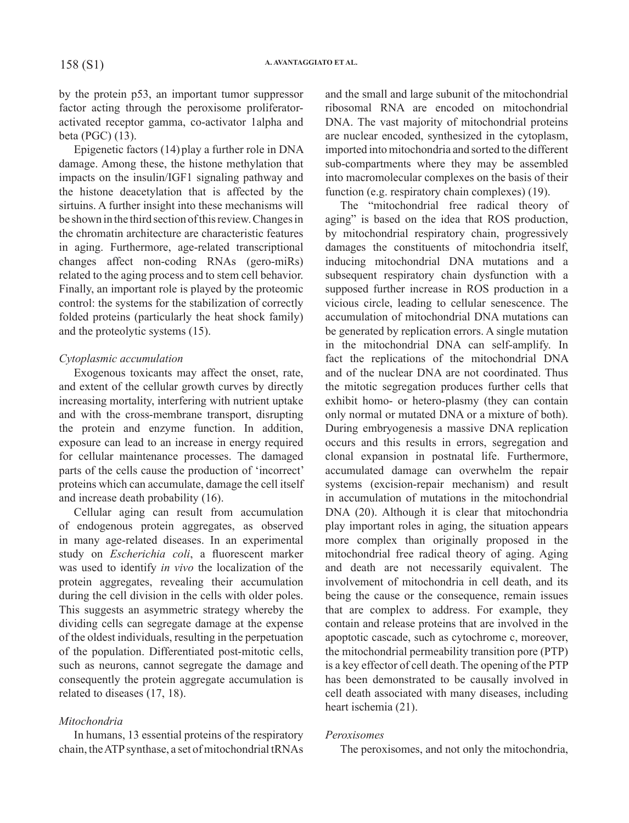by the protein p53, an important tumor suppressor factor acting through the peroxisome proliferatoractivated receptor gamma, co-activator 1alpha and beta (PGC) (13).

Epigenetic factors (14) play a further role in DNA damage. Among these, the histone methylation that impacts on the insulin/IGF1 signaling pathway and the histone deacetylation that is affected by the sirtuins. A further insight into these mechanisms will be shown in the third section of this review. Changes in the chromatin architecture are characteristic features in aging. Furthermore, age-related transcriptional changes affect non-coding RNAs (gero-miRs) related to the aging process and to stem cell behavior. Finally, an important role is played by the proteomic control: the systems for the stabilization of correctly folded proteins (particularly the heat shock family) and the proteolytic systems (15).

# *Cytoplasmic accumulation*

Exogenous toxicants may affect the onset, rate, and extent of the cellular growth curves by directly increasing mortality, interfering with nutrient uptake and with the cross-membrane transport, disrupting the protein and enzyme function. In addition, exposure can lead to an increase in energy required for cellular maintenance processes. The damaged parts of the cells cause the production of 'incorrect' proteins which can accumulate, damage the cell itself and increase death probability (16).

Cellular aging can result from accumulation of endogenous protein aggregates, as observed in many age-related diseases. In an experimental study on *Escherichia coli*, a fluorescent marker was used to identify *in vivo* the localization of the protein aggregates, revealing their accumulation during the cell division in the cells with older poles. This suggests an asymmetric strategy whereby the dividing cells can segregate damage at the expense of the oldest individuals, resulting in the perpetuation of the population. Differentiated post-mitotic cells, such as neurons, cannot segregate the damage and consequently the protein aggregate accumulation is related to diseases (17, 18).

# *Mitochondria*

In humans, 13 essential proteins of the respiratory chain, the ATP synthase, a set of mitochondrial tRNAs and the small and large subunit of the mitochondrial ribosomal RNA are encoded on mitochondrial DNA. The vast majority of mitochondrial proteins are nuclear encoded, synthesized in the cytoplasm, imported into mitochondria and sorted to the different sub-compartments where they may be assembled into macromolecular complexes on the basis of their function (e.g. respiratory chain complexes) (19).

The "mitochondrial free radical theory of aging" is based on the idea that ROS production, by mitochondrial respiratory chain, progressively damages the constituents of mitochondria itself, inducing mitochondrial DNA mutations and a subsequent respiratory chain dysfunction with a supposed further increase in ROS production in a vicious circle, leading to cellular senescence. The accumulation of mitochondrial DNA mutations can be generated by replication errors. A single mutation in the mitochondrial DNA can self-amplify. In fact the replications of the mitochondrial DNA and of the nuclear DNA are not coordinated. Thus the mitotic segregation produces further cells that exhibit homo- or hetero-plasmy (they can contain only normal or mutated DNA or a mixture of both). During embryogenesis a massive DNA replication occurs and this results in errors, segregation and clonal expansion in postnatal life. Furthermore, accumulated damage can overwhelm the repair systems (excision-repair mechanism) and result in accumulation of mutations in the mitochondrial DNA (20). Although it is clear that mitochondria play important roles in aging, the situation appears more complex than originally proposed in the mitochondrial free radical theory of aging. Aging and death are not necessarily equivalent. The involvement of mitochondria in cell death, and its being the cause or the consequence, remain issues that are complex to address. For example, they contain and release proteins that are involved in the apoptotic cascade, such as cytochrome c, moreover, the mitochondrial permeability transition pore (PTP) is a key effector of cell death. The opening of the PTP has been demonstrated to be causally involved in cell death associated with many diseases, including heart ischemia (21).

## *Peroxisomes*

The peroxisomes, and not only the mitochondria,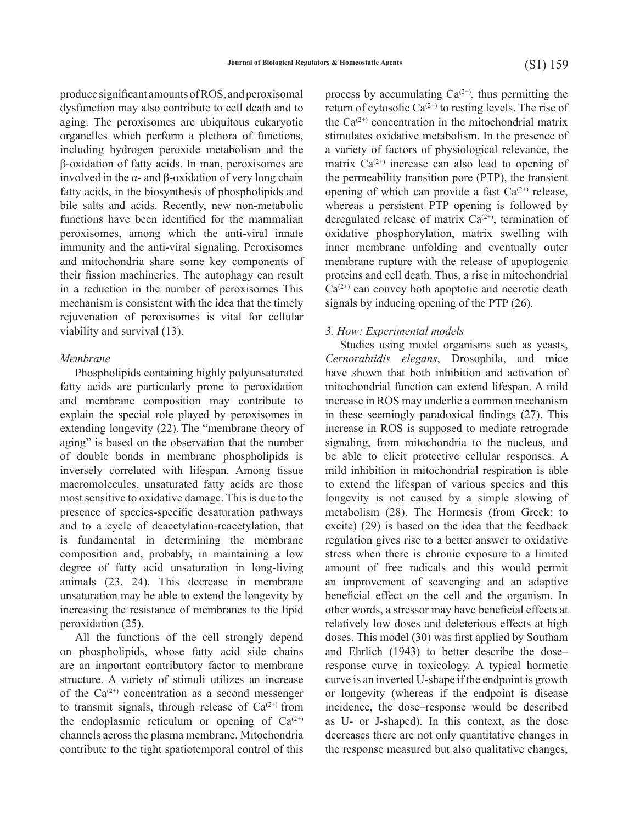produce significant amounts of ROS, and peroxisomal dysfunction may also contribute to cell death and to aging. The peroxisomes are ubiquitous eukaryotic organelles which perform a plethora of functions, including hydrogen peroxide metabolism and the β-oxidation of fatty acids. In man, peroxisomes are involved in the α- and β-oxidation of very long chain fatty acids, in the biosynthesis of phospholipids and bile salts and acids. Recently, new non-metabolic functions have been identified for the mammalian peroxisomes, among which the anti-viral innate immunity and the anti-viral signaling. Peroxisomes and mitochondria share some key components of their fission machineries. The autophagy can result in a reduction in the number of peroxisomes This mechanism is consistent with the idea that the timely rejuvenation of peroxisomes is vital for cellular viability and survival (13).

#### *Membrane*

Phospholipids containing highly polyunsaturated fatty acids are particularly prone to peroxidation and membrane composition may contribute to explain the special role played by peroxisomes in extending longevity (22). The "membrane theory of aging" is based on the observation that the number of double bonds in membrane phospholipids is inversely correlated with lifespan. Among tissue macromolecules, unsaturated fatty acids are those most sensitive to oxidative damage. This is due to the presence of species-specific desaturation pathways and to a cycle of deacetylation-reacetylation, that is fundamental in determining the membrane composition and, probably, in maintaining a low degree of fatty acid unsaturation in long-living animals (23, 24). This decrease in membrane unsaturation may be able to extend the longevity by increasing the resistance of membranes to the lipid peroxidation (25).

All the functions of the cell strongly depend on phospholipids, whose fatty acid side chains are an important contributory factor to membrane structure. A variety of stimuli utilizes an increase of the  $Ca^{(2+)}$  concentration as a second messenger to transmit signals, through release of  $Ca^{(2+)}$  from the endoplasmic reticulum or opening of  $Ca^{(2+)}$ channels across the plasma membrane. Mitochondria contribute to the tight spatiotemporal control of this

process by accumulating  $Ca^{(2+)}$ , thus permitting the return of cytosolic  $Ca^{(2+)}$  to resting levels. The rise of the  $Ca^{(2+)}$  concentration in the mitochondrial matrix stimulates oxidative metabolism. In the presence of a variety of factors of physiological relevance, the matrix  $Ca^{(2+)}$  increase can also lead to opening of the permeability transition pore (PTP), the transient opening of which can provide a fast  $Ca^{(2+)}$  release, whereas a persistent PTP opening is followed by deregulated release of matrix  $Ca^{(2+)}$ , termination of oxidative phosphorylation, matrix swelling with inner membrane unfolding and eventually outer membrane rupture with the release of apoptogenic proteins and cell death. Thus, a rise in mitochondrial  $Ca^{(2+)}$  can convey both apoptotic and necrotic death signals by inducing opening of the PTP (26).

## *3. How: Experimental models*

Studies using model organisms such as yeasts, *Cernorabtidis elegans*, Drosophila, and mice have shown that both inhibition and activation of mitochondrial function can extend lifespan. A mild increase in ROS may underlie a common mechanism in these seemingly paradoxical findings (27). This increase in ROS is supposed to mediate retrograde signaling, from mitochondria to the nucleus, and be able to elicit protective cellular responses. A mild inhibition in mitochondrial respiration is able to extend the lifespan of various species and this longevity is not caused by a simple slowing of metabolism (28). The Hormesis (from Greek: to excite) (29) is based on the idea that the feedback regulation gives rise to a better answer to oxidative stress when there is chronic exposure to a limited amount of free radicals and this would permit an improvement of scavenging and an adaptive beneficial effect on the cell and the organism. In other words, a stressor may have beneficial effects at relatively low doses and deleterious effects at high doses. This model (30) was first applied by Southam and Ehrlich (1943) to better describe the dose– response curve in toxicology. A typical hormetic curve is an inverted U-shape if the endpoint is growth or longevity (whereas if the endpoint is disease incidence, the dose–response would be described as U- or J-shaped). In this context, as the dose decreases there are not only quantitative changes in the response measured but also qualitative changes,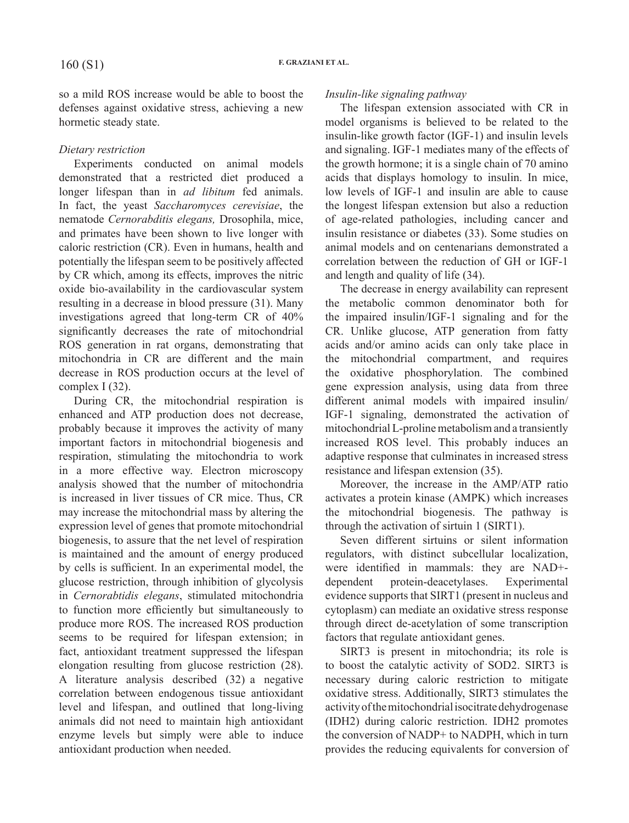so a mild ROS increase would be able to boost the defenses against oxidative stress, achieving a new hormetic steady state.

# *Dietary restriction*

Experiments conducted on animal models demonstrated that a restricted diet produced a longer lifespan than in *ad libitum* fed animals. In fact, the yeast *Saccharomyces cerevisiae*, the nematode *Cernorabditis elegans,* Drosophila, mice, and primates have been shown to live longer with caloric restriction (CR). Even in humans, health and potentially the lifespan seem to be positively affected by CR which, among its effects, improves the nitric oxide bio-availability in the cardiovascular system resulting in a decrease in blood pressure (31). Many investigations agreed that long-term CR of 40% significantly decreases the rate of mitochondrial ROS generation in rat organs, demonstrating that mitochondria in CR are different and the main decrease in ROS production occurs at the level of complex I (32).

During CR, the mitochondrial respiration is enhanced and ATP production does not decrease, probably because it improves the activity of many important factors in mitochondrial biogenesis and respiration, stimulating the mitochondria to work in a more effective way. Electron microscopy analysis showed that the number of mitochondria is increased in liver tissues of CR mice. Thus, CR may increase the mitochondrial mass by altering the expression level of genes that promote mitochondrial biogenesis, to assure that the net level of respiration is maintained and the amount of energy produced by cells is sufficient. In an experimental model, the glucose restriction, through inhibition of glycolysis in *Cernorabtidis elegans*, stimulated mitochondria to function more efficiently but simultaneously to produce more ROS. The increased ROS production seems to be required for lifespan extension; in fact, antioxidant treatment suppressed the lifespan elongation resulting from glucose restriction (28). A literature analysis described (32) a negative correlation between endogenous tissue antioxidant level and lifespan, and outlined that long-living animals did not need to maintain high antioxidant enzyme levels but simply were able to induce antioxidant production when needed.

# *Insulin-like signaling pathway*

The lifespan extension associated with CR in model organisms is believed to be related to the insulin-like growth factor (IGF-1) and insulin levels and signaling. IGF-1 mediates many of the effects of the growth hormone; it is a single chain of 70 amino acids that displays homology to insulin. In mice, low levels of IGF-1 and insulin are able to cause the longest lifespan extension but also a reduction of age-related pathologies, including cancer and insulin resistance or diabetes (33). Some studies on animal models and on centenarians demonstrated a correlation between the reduction of GH or IGF-1 and length and quality of life (34).

The decrease in energy availability can represent the metabolic common denominator both for the impaired insulin/IGF-1 signaling and for the CR. Unlike glucose, ATP generation from fatty acids and/or amino acids can only take place in the mitochondrial compartment, and requires the oxidative phosphorylation. The combined gene expression analysis, using data from three different animal models with impaired insulin/ IGF-1 signaling, demonstrated the activation of mitochondrial L-proline metabolism and a transiently increased ROS level. This probably induces an adaptive response that culminates in increased stress resistance and lifespan extension (35).

Moreover, the increase in the AMP/ATP ratio activates a protein kinase (AMPK) which increases the mitochondrial biogenesis. The pathway is through the activation of sirtuin 1 (SIRT1).

Seven different sirtuins or silent information regulators, with distinct subcellular localization, were identified in mammals: they are NAD+ dependent protein-deacetylases. Experimental evidence supports that SIRT1 (present in nucleus and cytoplasm) can mediate an oxidative stress response through direct de-acetylation of some transcription factors that regulate antioxidant genes.

SIRT3 is present in mitochondria; its role is to boost the catalytic activity of SOD2. SIRT3 is necessary during caloric restriction to mitigate oxidative stress. Additionally, SIRT3 stimulates the activity of the mitochondrial isocitrate dehydrogenase (IDH2) during caloric restriction. IDH2 promotes the conversion of NADP+ to NADPH, which in turn provides the reducing equivalents for conversion of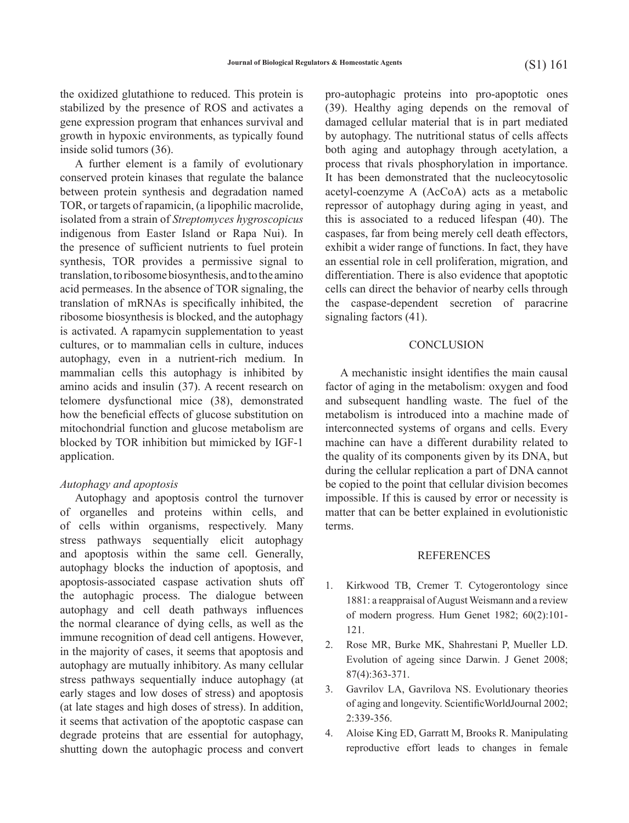the oxidized glutathione to reduced. This protein is stabilized by the presence of ROS and activates a gene expression program that enhances survival and growth in hypoxic environments, as typically found inside solid tumors (36).

A further element is a family of evolutionary conserved protein kinases that regulate the balance between protein synthesis and degradation named TOR, or targets of rapamicin, (a lipophilic macrolide, isolated from a strain of *Streptomyces hygroscopicus* indigenous from Easter Island or Rapa Nui). In the presence of sufficient nutrients to fuel protein synthesis, TOR provides a permissive signal to translation, to ribosome biosynthesis, and to the amino acid permeases. In the absence of TOR signaling, the translation of mRNAs is specifically inhibited, the ribosome biosynthesis is blocked, and the autophagy is activated. A rapamycin supplementation to yeast cultures, or to mammalian cells in culture, induces autophagy, even in a nutrient-rich medium. In mammalian cells this autophagy is inhibited by amino acids and insulin (37). A recent research on telomere dysfunctional mice (38), demonstrated how the beneficial effects of glucose substitution on mitochondrial function and glucose metabolism are blocked by TOR inhibition but mimicked by IGF-1 application.

## *Autophagy and apoptosis*

Autophagy and apoptosis control the turnover of organelles and proteins within cells, and of cells within organisms, respectively. Many stress pathways sequentially elicit autophagy and apoptosis within the same cell. Generally, autophagy blocks the induction of apoptosis, and apoptosis-associated caspase activation shuts off the autophagic process. The dialogue between autophagy and cell death pathways influences the normal clearance of dying cells, as well as the immune recognition of dead cell antigens. However, in the majority of cases, it seems that apoptosis and autophagy are mutually inhibitory. As many cellular stress pathways sequentially induce autophagy (at early stages and low doses of stress) and apoptosis (at late stages and high doses of stress). In addition, it seems that activation of the apoptotic caspase can degrade proteins that are essential for autophagy, shutting down the autophagic process and convert

 pro-autophagic proteins into pro-apoptotic ones (39). Healthy aging depends on the removal of damaged cellular material that is in part mediated by autophagy. The nutritional status of cells affects both aging and autophagy through acetylation, a process that rivals phosphorylation in importance. It has been demonstrated that the nucleocytosolic acetyl-coenzyme A (AcCoA) acts as a metabolic repressor of autophagy during aging in yeast, and this is associated to a reduced lifespan (40). The caspases, far from being merely cell death effectors, exhibit a wider range of functions. In fact, they have an essential role in cell proliferation, migration, and differentiation. There is also evidence that apoptotic cells can direct the behavior of nearby cells through the caspase-dependent secretion of paracrine signaling factors (41).

## **CONCLUSION**

A mechanistic insight identifies the main causal factor of aging in the metabolism: oxygen and food and subsequent handling waste. The fuel of the metabolism is introduced into a machine made of interconnected systems of organs and cells. Every machine can have a different durability related to the quality of its components given by its DNA, but during the cellular replication a part of DNA cannot be copied to the point that cellular division becomes impossible. If this is caused by error or necessity is matter that can be better explained in evolutionistic terms.

#### REFERENCES

- 1. Kirkwood TB, Cremer T. Cytogerontology since 1881: a reappraisal of August Weismann and a review of modern progress. Hum Genet 1982; 60(2):101- 121.
- 2. Rose MR, Burke MK, Shahrestani P, Mueller LD. Evolution of ageing since Darwin. J Genet 2008; 87(4):363-371.
- 3. Gavrilov LA, Gavrilova NS. Evolutionary theories of aging and longevity. ScientificWorldJournal 2002; 2:339-356.
- 4. Aloise King ED, Garratt M, Brooks R. Manipulating reproductive effort leads to changes in female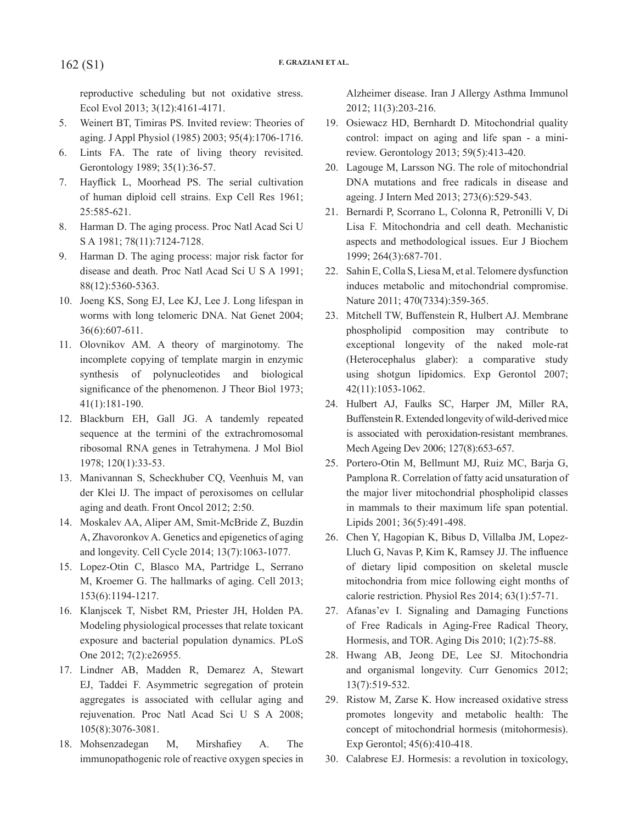reproductive scheduling but not oxidative stress. Ecol Evol 2013; 3(12):4161-4171.

- 5. Weinert BT, Timiras PS. Invited review: Theories of aging. J Appl Physiol (1985) 2003; 95(4):1706-1716.
- 6. Lints FA. The rate of living theory revisited. Gerontology 1989; 35(1):36-57.
- 7. Hayflick L, Moorhead PS. The serial cultivation of human diploid cell strains. Exp Cell Res 1961; 25:585-621.
- 8. Harman D. The aging process. Proc Natl Acad Sci U S A 1981; 78(11):7124-7128.
- 9. Harman D. The aging process: major risk factor for disease and death. Proc Natl Acad Sci U S A 1991; 88(12):5360-5363.
- 10. Joeng KS, Song EJ, Lee KJ, Lee J. Long lifespan in worms with long telomeric DNA. Nat Genet 2004; 36(6):607-611.
- 11. Olovnikov AM. A theory of marginotomy. The incomplete copying of template margin in enzymic synthesis of polynucleotides and biological significance of the phenomenon. J Theor Biol 1973; 41(1):181-190.
- 12. Blackburn EH, Gall JG. A tandemly repeated sequence at the termini of the extrachromosomal ribosomal RNA genes in Tetrahymena. J Mol Biol 1978; 120(1):33-53.
- 13. Manivannan S, Scheckhuber CQ, Veenhuis M, van der Klei IJ. The impact of peroxisomes on cellular aging and death. Front Oncol 2012; 2:50.
- 14. Moskalev AA, Aliper AM, Smit-McBride Z, Buzdin A, Zhavoronkov A. Genetics and epigenetics of aging and longevity. Cell Cycle 2014; 13(7):1063-1077.
- 15. Lopez-Otin C, Blasco MA, Partridge L, Serrano M, Kroemer G. The hallmarks of aging. Cell 2013; 153(6):1194-1217.
- 16. Klanjscek T, Nisbet RM, Priester JH, Holden PA. Modeling physiological processes that relate toxicant exposure and bacterial population dynamics. PLoS One 2012; 7(2):e26955.
- 17. Lindner AB, Madden R, Demarez A, Stewart EJ, Taddei F. Asymmetric segregation of protein aggregates is associated with cellular aging and rejuvenation. Proc Natl Acad Sci U S A 2008; 105(8):3076-3081.
- 18. Mohsenzadegan M, Mirshafiey A. The immunopathogenic role of reactive oxygen species in

Alzheimer disease. Iran J Allergy Asthma Immunol 2012; 11(3):203-216.

- 19. Osiewacz HD, Bernhardt D. Mitochondrial quality control: impact on aging and life span - a minireview. Gerontology 2013; 59(5):413-420.
- 20. Lagouge M, Larsson NG. The role of mitochondrial DNA mutations and free radicals in disease and ageing. J Intern Med 2013; 273(6):529-543.
- 21. Bernardi P, Scorrano L, Colonna R, Petronilli V, Di Lisa F. Mitochondria and cell death. Mechanistic aspects and methodological issues. Eur J Biochem 1999; 264(3):687-701.
- 22. Sahin E, Colla S, Liesa M, et al. Telomere dysfunction induces metabolic and mitochondrial compromise. Nature 2011; 470(7334):359-365.
- 23. Mitchell TW, Buffenstein R, Hulbert AJ. Membrane phospholipid composition may contribute to exceptional longevity of the naked mole-rat (Heterocephalus glaber): a comparative study using shotgun lipidomics. Exp Gerontol 2007; 42(11):1053-1062.
- 24. Hulbert AJ, Faulks SC, Harper JM, Miller RA, Buffenstein R. Extended longevity of wild-derived mice is associated with peroxidation-resistant membranes. Mech Ageing Dev 2006; 127(8):653-657.
- 25. Portero-Otin M, Bellmunt MJ, Ruiz MC, Barja G, Pamplona R. Correlation of fatty acid unsaturation of the major liver mitochondrial phospholipid classes in mammals to their maximum life span potential. Lipids 2001; 36(5):491-498.
- 26. Chen Y, Hagopian K, Bibus D, Villalba JM, Lopez-Lluch G, Navas P, Kim K, Ramsey JJ. The influence of dietary lipid composition on skeletal muscle mitochondria from mice following eight months of calorie restriction. Physiol Res 2014; 63(1):57-71.
- 27. Afanas'ev I. Signaling and Damaging Functions of Free Radicals in Aging-Free Radical Theory, Hormesis, and TOR. Aging Dis 2010; 1(2):75-88.
- 28. Hwang AB, Jeong DE, Lee SJ. Mitochondria and organismal longevity. Curr Genomics 2012; 13(7):519-532.
- 29. Ristow M, Zarse K. How increased oxidative stress promotes longevity and metabolic health: The concept of mitochondrial hormesis (mitohormesis). Exp Gerontol; 45(6):410-418.
- 30. Calabrese EJ. Hormesis: a revolution in toxicology,